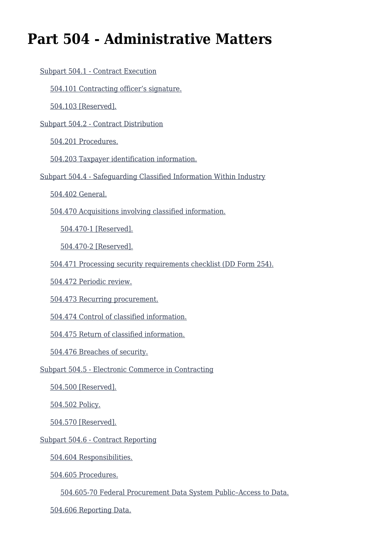# **Part 504 - Administrative Matters**

| Subpart 504.1 - Contract Execution                                  |
|---------------------------------------------------------------------|
| 504.101 Contracting officer's signature.                            |
| 504.103 [Reserved].                                                 |
| Subpart 504.2 - Contract Distribution                               |
| 504.201 Procedures.                                                 |
| 504.203 Taxpayer identification information.                        |
| Subpart 504.4 - Safeguarding Classified Information Within Industry |
| 504.402 General.                                                    |
| 504.470 Acquisitions involving classified information.              |
| 504.470-1 [Reserved].                                               |
| 504.470-2 [Reserved].                                               |
| 504.471 Processing security requirements checklist (DD Form 254).   |
| 504.472 Periodic review.                                            |
| 504.473 Recurring procurement.                                      |
| 504.474 Control of classified information.                          |
| 504.475 Return of classified information.                           |
| 504.476 Breaches of security.                                       |
| Subpart 504.5 - Electronic Commerce in Contracting                  |
| 504.500 [Reserved].                                                 |
| 504.502 Policy.                                                     |
| 504.570 [Reserved].                                                 |
| Subpart 504.6 - Contract Reporting                                  |
| 504.604 Responsibilities.                                           |
| 504.605 Procedures.                                                 |
| 504.605-70 Federal Procurement Data System Public-Access to Data.   |

[504.606 Reporting Data.](#page--1-0)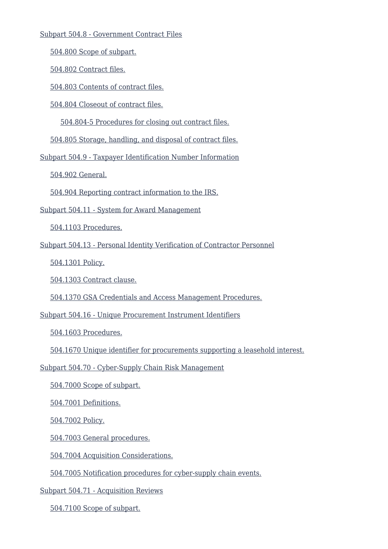#### [Subpart 504.8 - Government Contract Files](#page--1-0)

[504.800 Scope of subpart.](#page--1-0)

[504.802 Contract files.](#page--1-0)

[504.803 Contents of contract files.](#page--1-0)

[504.804 Closeout of contract files.](#page--1-0)

[504.804-5 Procedures for closing out contract files.](#page--1-0)

[504.805 Storage, handling, and disposal of contract files.](#page--1-0)

[Subpart 504.9 - Taxpayer Identification Number Information](#page--1-0)

[504.902 General.](#page--1-0)

[504.904 Reporting contract information to the IRS.](#page--1-0)

[Subpart 504.11 - System for Award Management](#page--1-0)

[504.1103 Procedures.](#page--1-0)

[Subpart 504.13 - Personal Identity Verification of Contractor Personnel](#page--1-0)

[504.1301 Policy.](#page--1-0)

[504.1303 Contract clause.](#page--1-0)

[504.1370 GSA Credentials and Access Management Procedures.](#page--1-0)

[Subpart 504.16 - Unique Procurement Instrument Identifiers](#page--1-0)

[504.1603 Procedures.](#page--1-0)

[504.1670 Unique identifier for procurements supporting a leasehold interest.](#page--1-0)

[Subpart 504.70 - Cyber-Supply Chain Risk Management](#page--1-0)

[504.7000 Scope of subpart.](#page--1-0)

[504.7001 Definitions.](#page--1-0)

[504.7002 Policy.](#page--1-0)

[504.7003 General procedures.](#page--1-0)

[504.7004 Acquisition Considerations.](#page--1-0)

[504.7005 Notification procedures for cyber-supply chain events.](#page--1-0)

[Subpart 504.71 - Acquisition Reviews](#page--1-0)

[504.7100 Scope of subpart.](#page--1-0)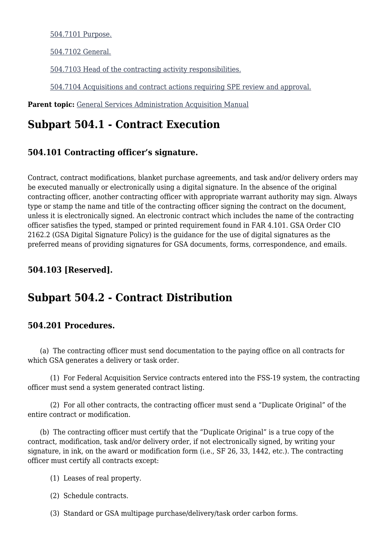[504.7101 Purpose.](#page--1-0)

[504.7102 General.](#page--1-0)

[504.7103 Head of the contracting activity responsibilities.](#page--1-0)

[504.7104 Acquisitions and contract actions requiring SPE review and approval.](#page--1-0)

Parent topic: [General Services Administration Acquisition Manual](https://www.acquisition.gov/content/general-services-administration-acquisition-manual)

## **Subpart 504.1 - Contract Execution**

## **504.101 Contracting officer's signature.**

Contract, contract modifications, blanket purchase agreements, and task and/or delivery orders may be executed manually or electronically using a digital signature. In the absence of the original contracting officer, another contracting officer with appropriate warrant authority may sign. Always type or stamp the name and title of the contracting officer signing the contract on the document, unless it is electronically signed. An electronic contract which includes the name of the contracting officer satisfies the typed, stamped or printed requirement found in FAR 4.101. GSA Order CIO 2162.2 (GSA Digital Signature Policy) is the guidance for the use of digital signatures as the preferred means of providing signatures for GSA documents, forms, correspondence, and emails.

## **504.103 [Reserved].**

## **Subpart 504.2 - Contract Distribution**

## **504.201 Procedures.**

 (a) The contracting officer must send documentation to the paying office on all contracts for which GSA generates a delivery or task order.

 (1) For Federal Acquisition Service contracts entered into the FSS-19 system, the contracting officer must send a system generated contract listing.

 (2) For all other contracts, the contracting officer must send a "Duplicate Original" of the entire contract or modification.

 (b) The contracting officer must certify that the "Duplicate Original" is a true copy of the contract, modification, task and/or delivery order, if not electronically signed, by writing your signature, in ink, on the award or modification form (i.e., SF 26, 33, 1442, etc.). The contracting officer must certify all contracts except:

- (1) Leases of real property.
- (2) Schedule contracts.
- (3) Standard or GSA multipage purchase/delivery/task order carbon forms.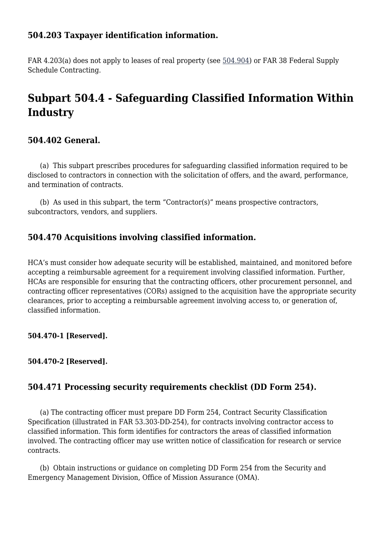## **504.203 Taxpayer identification information.**

FAR 4.203(a) does not apply to leases of real property (see [504.904\)](#page--1-0) or FAR 38 Federal Supply Schedule Contracting.

## **Subpart 504.4 - Safeguarding Classified Information Within Industry**

## **504.402 General.**

 (a) This subpart prescribes procedures for safeguarding classified information required to be disclosed to contractors in connection with the solicitation of offers, and the award, performance, and termination of contracts.

 (b) As used in this subpart, the term "Contractor(s)" means prospective contractors, subcontractors, vendors, and suppliers.

## **504.470 Acquisitions involving classified information.**

HCA's must consider how adequate security will be established, maintained, and monitored before accepting a reimbursable agreement for a requirement involving classified information. Further, HCAs are responsible for ensuring that the contracting officers, other procurement personnel, and contracting officer representatives (CORs) assigned to the acquisition have the appropriate security clearances, prior to accepting a reimbursable agreement involving access to, or generation of, classified information.

#### **504.470-1 [Reserved].**

#### **504.470-2 [Reserved].**

## **504.471 Processing security requirements checklist (DD Form 254).**

 (a) The contracting officer must prepare DD Form 254, Contract Security Classification Specification (illustrated in FAR 53.303-DD-254), for contracts involving contractor access to classified information. This form identifies for contractors the areas of classified information involved. The contracting officer may use written notice of classification for research or service contracts.

 (b) Obtain instructions or guidance on completing DD Form 254 from the Security and Emergency Management Division, Office of Mission Assurance (OMA).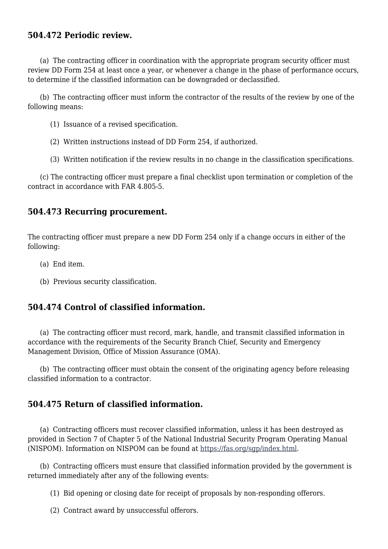## **504.472 Periodic review.**

 (a) The contracting officer in coordination with the appropriate program security officer must review DD Form 254 at least once a year, or whenever a change in the phase of performance occurs, to determine if the classified information can be downgraded or declassified.

 (b) The contracting officer must inform the contractor of the results of the review by one of the following means:

- (1) Issuance of a revised specification.
- (2) Written instructions instead of DD Form 254, if authorized.
- (3) Written notification if the review results in no change in the classification specifications.

 (c) The contracting officer must prepare a final checklist upon termination or completion of the contract in accordance with FAR 4.805-5.

## **504.473 Recurring procurement.**

The contracting officer must prepare a new DD Form 254 only if a change occurs in either of the following:

- (a) End item.
- (b) Previous security classification.

## **504.474 Control of classified information.**

 (a) The contracting officer must record, mark, handle, and transmit classified information in accordance with the requirements of the Security Branch Chief, Security and Emergency Management Division, Office of Mission Assurance (OMA).

 (b) The contracting officer must obtain the consent of the originating agency before releasing classified information to a contractor.

## **504.475 Return of classified information.**

 (a) Contracting officers must recover classified information, unless it has been destroyed as provided in Section 7 of Chapter 5 of the National Industrial Security Program Operating Manual (NISPOM). Information on NISPOM can be found at [https://fas.org/sgp/index.html.](https://fas.org/sgp/index.html)

 (b) Contracting officers must ensure that classified information provided by the government is returned immediately after any of the following events:

(1) Bid opening or closing date for receipt of proposals by non-responding offerors.

(2) Contract award by unsuccessful offerors.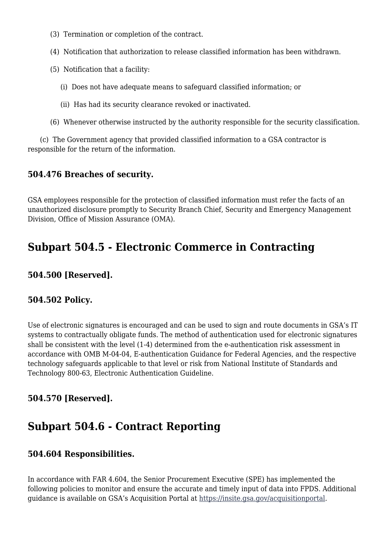- (3) Termination or completion of the contract.
- (4) Notification that authorization to release classified information has been withdrawn.
- (5) Notification that a facility:
	- (i) Does not have adequate means to safeguard classified information; or
	- (ii) Has had its security clearance revoked or inactivated.
- (6) Whenever otherwise instructed by the authority responsible for the security classification.

 (c) The Government agency that provided classified information to a GSA contractor is responsible for the return of the information.

## **504.476 Breaches of security.**

GSA employees responsible for the protection of classified information must refer the facts of an unauthorized disclosure promptly to Security Branch Chief, Security and Emergency Management Division, Office of Mission Assurance (OMA).

## **Subpart 504.5 - Electronic Commerce in Contracting**

## **504.500 [Reserved].**

## **504.502 Policy.**

Use of electronic signatures is encouraged and can be used to sign and route documents in GSA's IT systems to contractually obligate funds. The method of authentication used for electronic signatures shall be consistent with the level (1-4) determined from the e-authentication risk assessment in accordance with OMB M-04-04, E-authentication Guidance for Federal Agencies, and the respective technology safeguards applicable to that level or risk from National Institute of Standards and Technology 800-63, Electronic Authentication Guideline.

## **504.570 [Reserved].**

## **Subpart 504.6 - Contract Reporting**

## **504.604 Responsibilities.**

In accordance with FAR 4.604, the Senior Procurement Executive (SPE) has implemented the following policies to monitor and ensure the accurate and timely input of data into FPDS. Additional guidance is available on GSA's Acquisition Portal at [https://insite.gsa.gov/acquisitionportal.](https://insite.gsa.gov/acquisitionportal)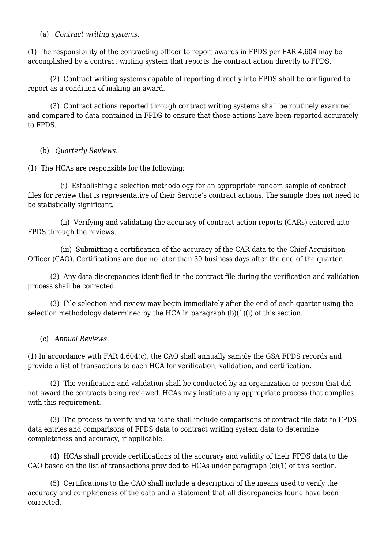(a) *Contract writing systems*.

(1) The responsibility of the contracting officer to report awards in FPDS per FAR 4.604 may be accomplished by a contract writing system that reports the contract action directly to FPDS.

 (2) Contract writing systems capable of reporting directly into FPDS shall be configured to report as a condition of making an award.

 (3) Contract actions reported through contract writing systems shall be routinely examined and compared to data contained in FPDS to ensure that those actions have been reported accurately to FPDS.

(b) *Quarterly Reviews*.

(1) The HCAs are responsible for the following:

 (i) Establishing a selection methodology for an appropriate random sample of contract files for review that is representative of their Service's contract actions. The sample does not need to be statistically significant.

 (ii) Verifying and validating the accuracy of contract action reports (CARs) entered into FPDS through the reviews.

 (iii) Submitting a certification of the accuracy of the CAR data to the Chief Acquisition Officer (CAO). Certifications are due no later than 30 business days after the end of the quarter.

 (2) Any data discrepancies identified in the contract file during the verification and validation process shall be corrected.

 (3) File selection and review may begin immediately after the end of each quarter using the selection methodology determined by the HCA in paragraph (b)(1)(i) of this section.

(c) *Annual Reviews*.

(1) In accordance with FAR 4.604(c), the CAO shall annually sample the GSA FPDS records and provide a list of transactions to each HCA for verification, validation, and certification.

 (2) The verification and validation shall be conducted by an organization or person that did not award the contracts being reviewed. HCAs may institute any appropriate process that complies with this requirement.

 (3) The process to verify and validate shall include comparisons of contract file data to FPDS data entries and comparisons of FPDS data to contract writing system data to determine completeness and accuracy, if applicable.

 (4) HCAs shall provide certifications of the accuracy and validity of their FPDS data to the CAO based on the list of transactions provided to HCAs under paragraph (c)(1) of this section.

 (5) Certifications to the CAO shall include a description of the means used to verify the accuracy and completeness of the data and a statement that all discrepancies found have been corrected.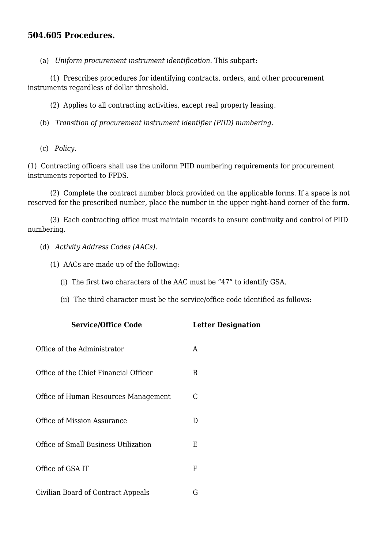## **504.605 Procedures.**

(a) *Uniform procurement instrument identification*. This subpart:

 (1) Prescribes procedures for identifying contracts, orders, and other procurement instruments regardless of dollar threshold.

(2) Applies to all contracting activities, except real property leasing.

(b) *Transition of procurement instrument identifier (PIID) numbering.*

(c) *Policy*.

(1) Contracting officers shall use the uniform PIID numbering requirements for procurement instruments reported to FPDS.

 (2) Complete the contract number block provided on the applicable forms. If a space is not reserved for the prescribed number, place the number in the upper right-hand corner of the form.

 (3) Each contracting office must maintain records to ensure continuity and control of PIID numbering.

- (d) *Activity Address Codes (AACs).*
	- (1) AACs are made up of the following:
		- (i) The first two characters of the AAC must be "47" to identify GSA.
		- (ii) The third character must be the service/office code identified as follows:

| <b>Service/Office Code</b>            | <b>Letter Designation</b> |
|---------------------------------------|---------------------------|
| Office of the Administrator           | A                         |
| Office of the Chief Financial Officer | B                         |
| Office of Human Resources Management  | C                         |
| Office of Mission Assurance           | D                         |
| Office of Small Business Utilization  | Ε                         |
| Office of GSA IT                      | F                         |
| Civilian Board of Contract Appeals    | G                         |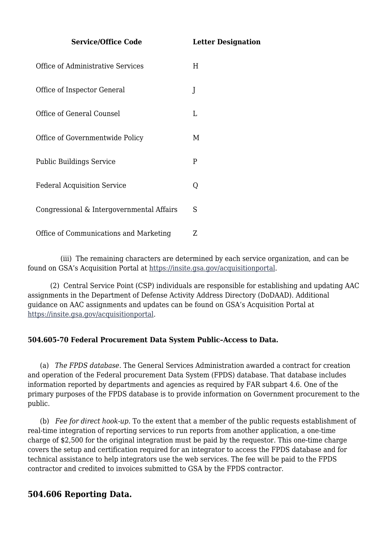**Service/Office Code Letter Designation**

| Office of Administrative Services         | H  |
|-------------------------------------------|----|
| Office of Inspector General               | J  |
| Office of General Counsel                 | I. |
| Office of Governmentwide Policy           | M  |
| <b>Public Buildings Service</b>           | P  |
| <b>Federal Acquisition Service</b>        | Q  |
| Congressional & Intergovernmental Affairs | S  |
| Office of Communications and Marketing    | Z  |

 (iii) The remaining characters are determined by each service organization, and can be found on GSA's Acquisition Portal at<https://insite.gsa.gov/acquisitionportal>.

 (2) Central Service Point (CSP) individuals are responsible for establishing and updating AAC assignments in the Department of Defense Activity Address Directory (DoDAAD). Additional guidance on AAC assignments and updates can be found on GSA's Acquisition Portal at [https://insite.gsa.gov/acquisitionportal.](https://insite.gsa.gov/acquisitionportal)

#### **504.605-70 Federal Procurement Data System Public–Access to Data.**

 (a) *The FPDS database*. The General Services Administration awarded a contract for creation and operation of the Federal procurement Data System (FPDS) database. That database includes information reported by departments and agencies as required by FAR subpart 4.6. One of the primary purposes of the FPDS database is to provide information on Government procurement to the public.

 (b) *Fee for direct hook-up*. To the extent that a member of the public requests establishment of real-time integration of reporting services to run reports from another application, a one-time charge of \$2,500 for the original integration must be paid by the requestor. This one-time charge covers the setup and certification required for an integrator to access the FPDS database and for technical assistance to help integrators use the web services. The fee will be paid to the FPDS contractor and credited to invoices submitted to GSA by the FPDS contractor.

## **504.606 Reporting Data.**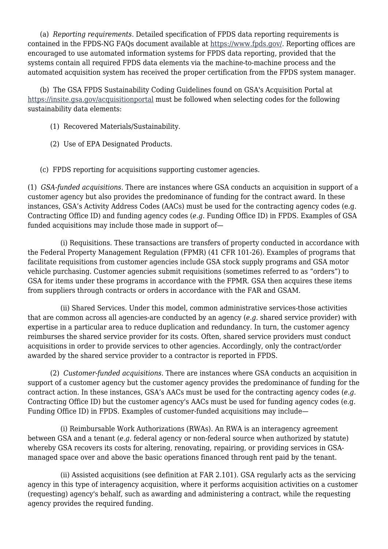(a) *Reporting requirements*. Detailed specification of FPDS data reporting requirements is contained in the FPDS-NG FAQs document available at [https://www.fpds.gov/.](https://www.fpds.gov/) Reporting offices are encouraged to use automated information systems for FPDS data reporting, provided that the systems contain all required FPDS data elements via the machine-to-machine process and the automated acquisition system has received the proper certification from the FPDS system manager.

 (b) The GSA FPDS Sustainability Coding Guidelines found on GSA's Acquisition Portal at <https://insite.gsa.gov/acquisitionportal>must be followed when selecting codes for the following sustainability data elements:

- (1) Recovered Materials/Sustainability.
- (2) Use of EPA Designated Products.

(c) FPDS reporting for acquisitions supporting customer agencies.

(1) *GSA-funded acquisitions*. There are instances where GSA conducts an acquisition in support of a customer agency but also provides the predominance of funding for the contract award. In these instances, GSA's Activity Address Codes (AACs) must be used for the contracting agency codes (e.g. Contracting Office ID) and funding agency codes (*e.g.* Funding Office ID) in FPDS. Examples of GSA funded acquisitions may include those made in support of—

 (i) Requisitions. These transactions are transfers of property conducted in accordance with the Federal Property Management Regulation (FPMR) (41 CFR 101-26). Examples of programs that facilitate requisitions from customer agencies include GSA stock supply programs and GSA motor vehicle purchasing. Customer agencies submit requisitions (sometimes referred to as "orders") to GSA for items under these programs in accordance with the FPMR. GSA then acquires these items from suppliers through contracts or orders in accordance with the FAR and GSAM.

 (ii) Shared Services. Under this model, common administrative services-those activities that are common across all agencies-are conducted by an agency (*e.g.* shared service provider) with expertise in a particular area to reduce duplication and redundancy. In turn, the customer agency reimburses the shared service provider for its costs. Often, shared service providers must conduct acquisitions in order to provide services to other agencies. Accordingly, only the contract/order awarded by the shared service provider to a contractor is reported in FPDS.

 (2) *Customer-funded acquisitions*. There are instances where GSA conducts an acquisition in support of a customer agency but the customer agency provides the predominance of funding for the contract action. In these instances, GSA's AACs must be used for the contracting agency codes (*e.g.* Contracting Office ID) but the customer agency's AACs must be used for funding agency codes (e.g. Funding Office ID) in FPDS. Examples of customer-funded acquisitions may include—

 (i) Reimbursable Work Authorizations (RWAs). An RWA is an interagency agreement between GSA and a tenant (*e.g.* federal agency or non-federal source when authorized by statute) whereby GSA recovers its costs for altering, renovating, repairing, or providing services in GSAmanaged space over and above the basic operations financed through rent paid by the tenant.

 (ii) Assisted acquisitions (see definition at FAR 2.101). GSA regularly acts as the servicing agency in this type of interagency acquisition, where it performs acquisition activities on a customer (requesting) agency's behalf, such as awarding and administering a contract, while the requesting agency provides the required funding.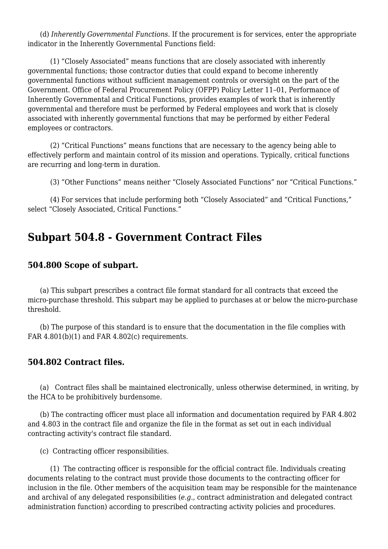(d) *Inherently Governmental Functions*. If the procurement is for services, enter the appropriate indicator in the Inherently Governmental Functions field:

 (1) "Closely Associated" means functions that are closely associated with inherently governmental functions; those contractor duties that could expand to become inherently governmental functions without sufficient management controls or oversight on the part of the Government. Office of Federal Procurement Policy (OFPP) Policy Letter 11–01, Performance of Inherently Governmental and Critical Functions, provides examples of work that is inherently governmental and therefore must be performed by Federal employees and work that is closely associated with inherently governmental functions that may be performed by either Federal employees or contractors.

 (2) "Critical Functions" means functions that are necessary to the agency being able to effectively perform and maintain control of its mission and operations. Typically, critical functions are recurring and long-term in duration.

(3) "Other Functions" means neither "Closely Associated Functions" nor "Critical Functions."

 (4) For services that include performing both "Closely Associated" and "Critical Functions," select "Closely Associated, Critical Functions."

## **Subpart 504.8 - Government Contract Files**

### **504.800 Scope of subpart.**

 (a) This subpart prescribes a contract file format standard for all contracts that exceed the micro-purchase threshold. This subpart may be applied to purchases at or below the micro-purchase threshold.

 (b) The purpose of this standard is to ensure that the documentation in the file complies with FAR  $4.801(b)(1)$  and FAR  $4.802(c)$  requirements.

#### **504.802 Contract files.**

 (a) Contract files shall be maintained electronically, unless otherwise determined, in writing, by the HCA to be prohibitively burdensome.

 (b) The contracting officer must place all information and documentation required by FAR 4.802 and 4.803 in the contract file and organize the file in the format as set out in each individual contracting activity's contract file standard.

(c) Contracting officer responsibilities.

 (1) The contracting officer is responsible for the official contract file. Individuals creating documents relating to the contract must provide those documents to the contracting officer for inclusion in the file. Other members of the acquisition team may be responsible for the maintenance and archival of any delegated responsibilities (*e.g.*, contract administration and delegated contract administration function) according to prescribed contracting activity policies and procedures.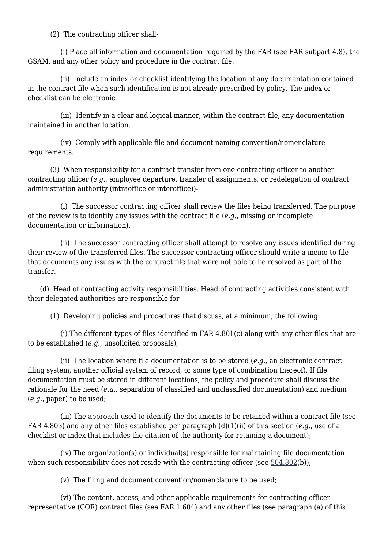(2) The contracting officer shall-

 (i) Place all information and documentation required by the FAR (see FAR subpart 4.8), the GSAM, and any other policy and procedure in the contract file.

 (ii) Include an index or checklist identifying the location of any documentation contained in the contract file when such identification is not already prescribed by policy. The index or checklist can be electronic.

 (iii) Identify in a clear and logical manner, within the contract file, any documentation maintained in another location.

 (iv) Comply with applicable file and document naming convention/nomenclature requirements.

 (3) When responsibility for a contract transfer from one contracting officer to another contracting officer (*e.g.*, employee departure, transfer of assignments, or redelegation of contract administration authority (intraoffice or interoffice))-

 (i) The successor contracting officer shall review the files being transferred. The purpose of the review is to identify any issues with the contract file (*e.g.*, missing or incomplete documentation or information).

 (ii) The successor contracting officer shall attempt to resolve any issues identified during their review of the transferred files. The successor contracting officer should write a memo-to-file that documents any issues with the contract file that were not able to be resolved as part of the transfer.

 (d) Head of contracting activity responsibilities. Head of contracting activities consistent with their delegated authorities are responsible for-

(1) Developing policies and procedures that discuss, at a minimum, the following:

 (i) The different types of files identified in FAR 4.801(c) along with any other files that are to be established (*e.g.*, unsolicited proposals);

 (ii) The location where file documentation is to be stored (*e.g.*, an electronic contract filing system, another official system of record, or some type of combination thereof). If file documentation must be stored in different locations, the policy and procedure shall discuss the rationale for the need (*e.g.*, separation of classified and unclassified documentation) and medium (*e.g.*, paper) to be used;

 (iii) The approach used to identify the documents to be retained within a contract file (see FAR 4.803) and any other files established per paragraph (d)(1)(ii) of this section (*e.g.*, use of a checklist or index that includes the citation of the authority for retaining a document);

 (iv) The organization(s) or individual(s) responsible for maintaining file documentation when such responsibility does not reside with the contracting officer (see [504.802](#page--1-0)(b));

(v) The filing and document convention/nomenclature to be used;

 (vi) The content, access, and other applicable requirements for contracting officer representative (COR) contract files (see FAR 1.604) and any other files (see paragraph (a) of this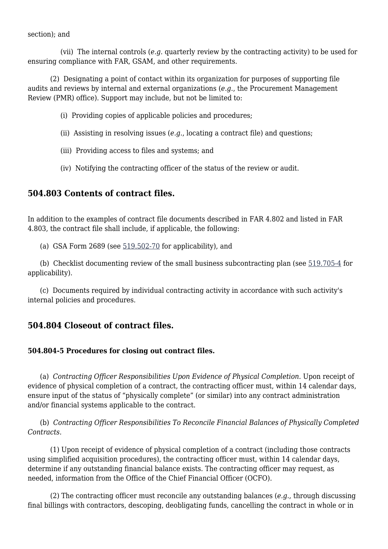#### section); and

 (vii) The internal controls (*e.g.* quarterly review by the contracting activity) to be used for ensuring compliance with FAR, GSAM, and other requirements.

 (2) Designating a point of contact within its organization for purposes of supporting file audits and reviews by internal and external organizations (*e.g.*, the Procurement Management Review (PMR) office). Support may include, but not be limited to:

(i) Providing copies of applicable policies and procedures;

- (ii) Assisting in resolving issues (*e.g.*, locating a contract file) and questions;
- (iii) Providing access to files and systems; and
- (iv) Notifying the contracting officer of the status of the review or audit.

## **504.803 Contents of contract files.**

In addition to the examples of contract file documents described in FAR 4.802 and listed in FAR 4.803, the contract file shall include, if applicable, the following:

(a) GSA Form 2689 (see [519.502-70](https://www.acquisition.gov/gsam/part-519#GSAM_519_502_70) for applicability), and

 (b) Checklist documenting review of the small business subcontracting plan (see [519.705-4](https://www.acquisition.gov/gsam/part-519#GSAM_519_705_4) for applicability).

 (c) Documents required by individual contracting activity in accordance with such activity's internal policies and procedures.

## **504.804 Closeout of contract files.**

#### **504.804-5 Procedures for closing out contract files.**

 (a) *Contracting Officer Responsibilities Upon Evidence of Physical Completion.* Upon receipt of evidence of physical completion of a contract, the contracting officer must, within 14 calendar days, ensure input of the status of "physically complete" (or similar) into any contract administration and/or financial systems applicable to the contract.

 (b) *Contracting Officer Responsibilities To Reconcile Financial Balances of Physically Completed Contracts.*

 (1) Upon receipt of evidence of physical completion of a contract (including those contracts using simplified acquisition procedures), the contracting officer must, within 14 calendar days, determine if any outstanding financial balance exists. The contracting officer may request, as needed, information from the Office of the Chief Financial Officer (OCFO).

 (2) The contracting officer must reconcile any outstanding balances (*e.g.*, through discussing final billings with contractors, descoping, deobligating funds, cancelling the contract in whole or in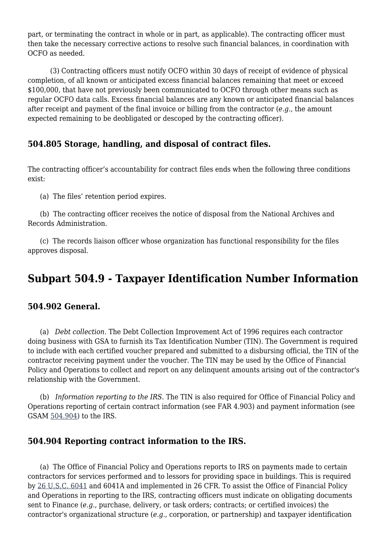part, or terminating the contract in whole or in part, as applicable). The contracting officer must then take the necessary corrective actions to resolve such financial balances, in coordination with OCFO as needed.

 (3) Contracting officers must notify OCFO within 30 days of receipt of evidence of physical completion, of all known or anticipated excess financial balances remaining that meet or exceed \$100,000, that have not previously been communicated to OCFO through other means such as regular OCFO data calls. Excess financial balances are any known or anticipated financial balances after receipt and payment of the final invoice or billing from the contractor (*e.g.*, the amount expected remaining to be deobligated or descoped by the contracting officer).

## **504.805 Storage, handling, and disposal of contract files.**

The contracting officer's accountability for contract files ends when the following three conditions exist:

(a) The files' retention period expires.

 (b) The contracting officer receives the notice of disposal from the National Archives and Records Administration.

 (c) The records liaison officer whose organization has functional responsibility for the files approves disposal.

## **Subpart 504.9 - Taxpayer Identification Number Information**

## **504.902 General.**

 (a) *Debt collection*. The Debt Collection Improvement Act of 1996 requires each contractor doing business with GSA to furnish its Tax Identification Number (TIN). The Government is required to include with each certified voucher prepared and submitted to a disbursing official, the TIN of the contractor receiving payment under the voucher. The TIN may be used by the Office of Financial Policy and Operations to collect and report on any delinquent amounts arising out of the contractor's relationship with the Government.

 (b) *Information reporting to the IRS*. The TIN is also required for Office of Financial Policy and Operations reporting of certain contract information (see FAR 4.903) and payment information (see GSAM [504.904\)](#page--1-0) to the IRS.

## **504.904 Reporting contract information to the IRS.**

 (a) The Office of Financial Policy and Operations reports to IRS on payments made to certain contractors for services performed and to lessors for providing space in buildings. This is required by [26 U.S.C. 6041](http://uscode.house.gov/browse.xhtml;jsessionid=114A3287C7B3359E597506A31FC855B3) and 6041A and implemented in 26 CFR. To assist the Office of Financial Policy and Operations in reporting to the IRS, contracting officers must indicate on obligating documents sent to Finance (*e.g.*, purchase, delivery, or task orders; contracts; or certified invoices) the contractor's organizational structure (*e.g.*, corporation, or partnership) and taxpayer identification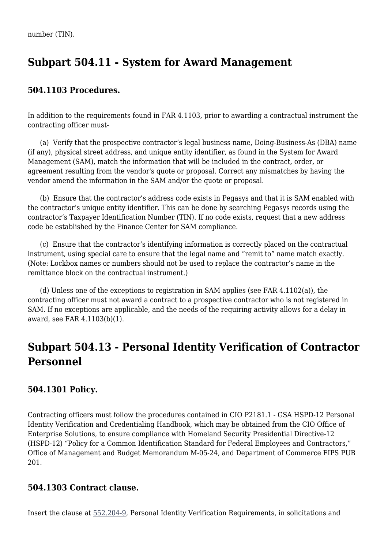## **Subpart 504.11 - System for Award Management**

## **504.1103 Procedures.**

In addition to the requirements found in FAR 4.1103, prior to awarding a contractual instrument the contracting officer must-

 (a) Verify that the prospective contractor's legal business name, Doing-Business-As (DBA) name (if any), physical street address, and unique entity identifier, as found in the System for Award Management (SAM), match the information that will be included in the contract, order, or agreement resulting from the vendor's quote or proposal. Correct any mismatches by having the vendor amend the information in the SAM and/or the quote or proposal.

 (b) Ensure that the contractor's address code exists in Pegasys and that it is SAM enabled with the contractor's unique entity identifier. This can be done by searching Pegasys records using the contractor's Taxpayer Identification Number (TIN). If no code exists, request that a new address code be established by the Finance Center for SAM compliance.

 (c) Ensure that the contractor's identifying information is correctly placed on the contractual instrument, using special care to ensure that the legal name and "remit to" name match exactly. (Note: Lockbox names or numbers should not be used to replace the contractor's name in the remittance block on the contractual instrument.)

 (d) Unless one of the exceptions to registration in SAM applies (see FAR 4.1102(a)), the contracting officer must not award a contract to a prospective contractor who is not registered in SAM. If no exceptions are applicable, and the needs of the requiring activity allows for a delay in award, see FAR 4.1103(b)(1).

## **Subpart 504.13 - Personal Identity Verification of Contractor Personnel**

## **504.1301 Policy.**

Contracting officers must follow the procedures contained in CIO P2181.1 - GSA HSPD-12 Personal Identity Verification and Credentialing Handbook, which may be obtained from the CIO Office of Enterprise Solutions, to ensure compliance with Homeland Security Presidential Directive-12 (HSPD-12) "Policy for a Common Identification Standard for Federal Employees and Contractors," Office of Management and Budget Memorandum M-05-24, and Department of Commerce FIPS PUB 201.

## **504.1303 Contract clause.**

Insert the clause at [552.204-9,](https://www.acquisition.gov/gsam/part-552#GSAM_552_204_9) Personal Identity Verification Requirements, in solicitations and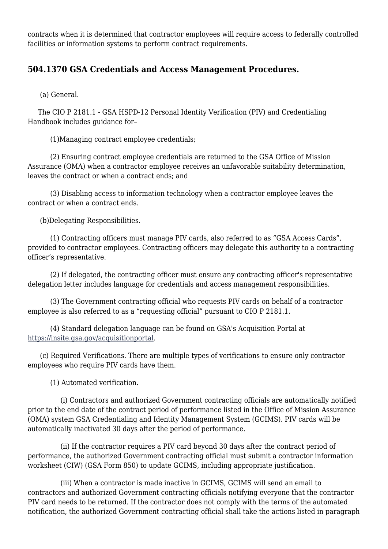contracts when it is determined that contractor employees will require access to federally controlled facilities or information systems to perform contract requirements.

## **504.1370 GSA Credentials and Access Management Procedures.**

(a) General.

 The CIO P 2181.1 - GSA HSPD-12 Personal Identity Verification (PIV) and Credentialing Handbook includes guidance for–

(1)Managing contract employee credentials;

 (2) Ensuring contract employee credentials are returned to the GSA Office of Mission Assurance (OMA) when a contractor employee receives an unfavorable suitability determination, leaves the contract or when a contract ends; and

 (3) Disabling access to information technology when a contractor employee leaves the contract or when a contract ends.

(b)Delegating Responsibilities.

 (1) Contracting officers must manage PIV cards, also referred to as "GSA Access Cards", provided to contractor employees. Contracting officers may delegate this authority to a contracting officer's representative.

 (2) If delegated, the contracting officer must ensure any contracting officer's representative delegation letter includes language for credentials and access management responsibilities.

 (3) The Government contracting official who requests PIV cards on behalf of a contractor employee is also referred to as a "requesting official" pursuant to CIO P 2181.1.

 (4) Standard delegation language can be found on GSA's Acquisition Portal at [https://insite.gsa.gov/acquisitionportal.](https://insite.gsa.gov/acquisitionportal)

 (c) Required Verifications. There are multiple types of verifications to ensure only contractor employees who require PIV cards have them.

(1) Automated verification.

 (i) Contractors and authorized Government contracting officials are automatically notified prior to the end date of the contract period of performance listed in the Office of Mission Assurance (OMA) system GSA Credentialing and Identity Management System (GCIMS). PIV cards will be automatically inactivated 30 days after the period of performance.

 (ii) If the contractor requires a PIV card beyond 30 days after the contract period of performance, the authorized Government contracting official must submit a contractor information worksheet (CIW) (GSA Form 850) to update GCIMS, including appropriate justification.

 (iii) When a contractor is made inactive in GCIMS, GCIMS will send an email to contractors and authorized Government contracting officials notifying everyone that the contractor PIV card needs to be returned. If the contractor does not comply with the terms of the automated notification, the authorized Government contracting official shall take the actions listed in paragraph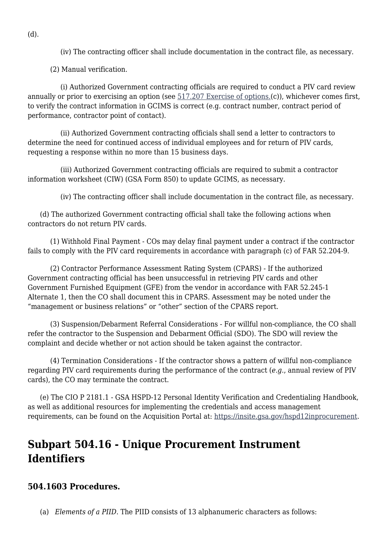(iv) The contracting officer shall include documentation in the contract file, as necessary.

(2) Manual verification.

 (i) Authorized Government contracting officials are required to conduct a PIV card review annually or prior to exercising an option (see [517.207 Exercise of options.](https://www.acquisition.gov/gsam/part-517#GSAM_517_207)(c)), whichever comes first, to verify the contract information in GCIMS is correct (e.g. contract number, contract period of performance, contractor point of contact).

 (ii) Authorized Government contracting officials shall send a letter to contractors to determine the need for continued access of individual employees and for return of PIV cards, requesting a response within no more than 15 business days.

 (iii) Authorized Government contracting officials are required to submit a contractor information worksheet (CIW) (GSA Form 850) to update GCIMS, as necessary.

(iv) The contracting officer shall include documentation in the contract file, as necessary.

 (d) The authorized Government contracting official shall take the following actions when contractors do not return PIV cards.

 (1) Withhold Final Payment - COs may delay final payment under a contract if the contractor fails to comply with the PIV card requirements in accordance with paragraph (c) of FAR 52.204-9.

 (2) Contractor Performance Assessment Rating System (CPARS) - If the authorized Government contracting official has been unsuccessful in retrieving PIV cards and other Government Furnished Equipment (GFE) from the vendor in accordance with FAR 52.245-1 Alternate 1, then the CO shall document this in CPARS. Assessment may be noted under the "management or business relations" or "other" section of the CPARS report.

 (3) Suspension/Debarment Referral Considerations - For willful non-compliance, the CO shall refer the contractor to the Suspension and Debarment Official (SDO). The SDO will review the complaint and decide whether or not action should be taken against the contractor.

 (4) Termination Considerations - If the contractor shows a pattern of willful non-compliance regarding PIV card requirements during the performance of the contract (*e.g.*, annual review of PIV cards), the CO may terminate the contract.

 (e) The CIO P 2181.1 - GSA HSPD-12 Personal Identity Verification and Credentialing Handbook, as well as additional resources for implementing the credentials and access management requirements, can be found on the Acquisition Portal at: <https://insite.gsa.gov/hspd12inprocurement>.

## **Subpart 504.16 - Unique Procurement Instrument Identifiers**

## **504.1603 Procedures.**

(a) *Elements of a PIID*. The PIID consists of 13 alphanumeric characters as follows:

(d).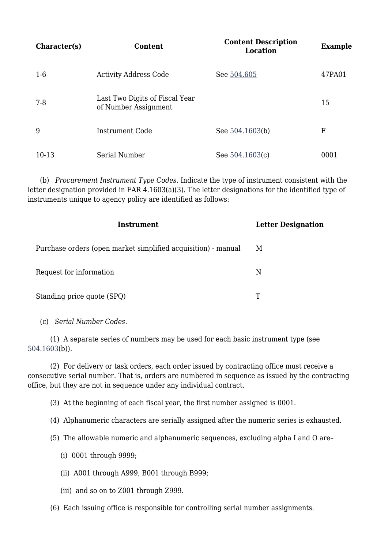| Character(s) | Content                                                | <b>Content Description</b><br>Location | <b>Example</b> |
|--------------|--------------------------------------------------------|----------------------------------------|----------------|
| $1-6$        | <b>Activity Address Code</b>                           | See 504.605                            | 47PA01         |
| $7 - 8$      | Last Two Digits of Fiscal Year<br>of Number Assignment |                                        | 15             |
| 9            | Instrument Code                                        | See 504.1603(b)                        | F              |
| 10-13        | Serial Number                                          | See $504.1603(c)$                      | 0001           |

 (b) *Procurement Instrument Type Codes*. Indicate the type of instrument consistent with the letter designation provided in FAR 4.1603(a)(3). The letter designations for the identified type of instruments unique to agency policy are identified as follows:

| Instrument                                                    | <b>Letter Designation</b> |
|---------------------------------------------------------------|---------------------------|
| Purchase orders (open market simplified acquisition) - manual | М                         |
| Request for information                                       | N                         |
| Standing price quote (SPQ)                                    | T                         |

(c) *Serial Number Codes*.

 (1) A separate series of numbers may be used for each basic instrument type (see [504.1603\(](#page--1-0)b)).

 (2) For delivery or task orders, each order issued by contracting office must receive a consecutive serial number. That is, orders are numbered in sequence as issued by the contracting office, but they are not in sequence under any individual contract.

(3) At the beginning of each fiscal year, the first number assigned is 0001.

(4) Alphanumeric characters are serially assigned after the numeric series is exhausted.

(5) The allowable numeric and alphanumeric sequences, excluding alpha I and O are–

- (i) 0001 through 9999;
- (ii) A001 through A999, B001 through B999;
- (iii) and so on to Z001 through Z999.
- (6) Each issuing office is responsible for controlling serial number assignments.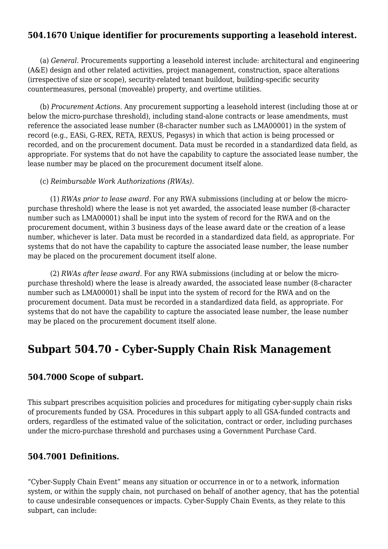## **504.1670 Unique identifier for procurements supporting a leasehold interest.**

 (a) *General*. Procurements supporting a leasehold interest include: architectural and engineering (A&E) design and other related activities, project management, construction, space alterations (irrespective of size or scope), security-related tenant buildout, building-specific security countermeasures, personal (moveable) property, and overtime utilities.

 (b) *Procurement Actions*. Any procurement supporting a leasehold interest (including those at or below the micro-purchase threshold), including stand-alone contracts or lease amendments, must reference the associated lease number (8-character number such as LMA00001) in the system of record (e.g., EASi, G-REX, RETA, REXUS, Pegasys) in which that action is being processed or recorded, and on the procurement document. Data must be recorded in a standardized data field, as appropriate. For systems that do not have the capability to capture the associated lease number, the lease number may be placed on the procurement document itself alone.

#### (c) *Reimbursable Work Authorizations (RWAs)*.

 (1) *RWAs prior to lease award*. For any RWA submissions (including at or below the micropurchase threshold) where the lease is not yet awarded, the associated lease number (8-character number such as LMA00001) shall be input into the system of record for the RWA and on the procurement document, within 3 business days of the lease award date or the creation of a lease number, whichever is later. Data must be recorded in a standardized data field, as appropriate. For systems that do not have the capability to capture the associated lease number, the lease number may be placed on the procurement document itself alone.

 (2) *RWAs after lease award*. For any RWA submissions (including at or below the micropurchase threshold) where the lease is already awarded, the associated lease number (8-character number such as LMA00001) shall be input into the system of record for the RWA and on the procurement document. Data must be recorded in a standardized data field, as appropriate. For systems that do not have the capability to capture the associated lease number, the lease number may be placed on the procurement document itself alone.

## **Subpart 504.70 - Cyber-Supply Chain Risk Management**

#### **504.7000 Scope of subpart.**

This subpart prescribes acquisition policies and procedures for mitigating cyber-supply chain risks of procurements funded by GSA. Procedures in this subpart apply to all GSA-funded contracts and orders, regardless of the estimated value of the solicitation, contract or order, including purchases under the micro-purchase threshold and purchases using a Government Purchase Card.

### **504.7001 Definitions.**

"Cyber-Supply Chain Event" means any situation or occurrence in or to a network, information system, or within the supply chain, not purchased on behalf of another agency, that has the potential to cause undesirable consequences or impacts. Cyber-Supply Chain Events, as they relate to this subpart, can include: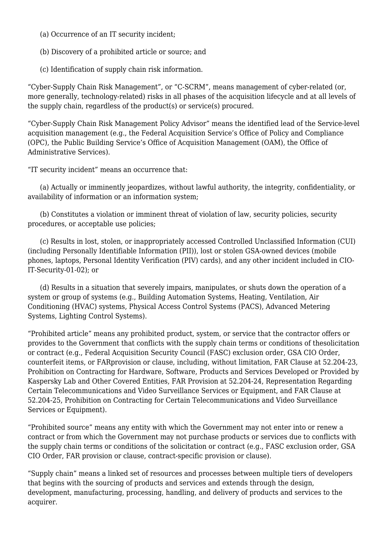- (a) Occurrence of an IT security incident;
- (b) Discovery of a prohibited article or source; and
- (c) Identification of supply chain risk information.

"Cyber-Supply Chain Risk Management", or "C-SCRM", means management of cyber-related (or, more generally, technology-related) risks in all phases of the acquisition lifecycle and at all levels of the supply chain, regardless of the product(s) or service(s) procured.

"Cyber-Supply Chain Risk Management Policy Advisor" means the identified lead of the Service-level acquisition management (e.g., the Federal Acquisition Service's Office of Policy and Compliance (OPC), the Public Building Service's Office of Acquisition Management (OAM), the Office of Administrative Services).

"IT security incident" means an occurrence that:

 (a) Actually or imminently jeopardizes, without lawful authority, the integrity, confidentiality, or availability of information or an information system;

 (b) Constitutes a violation or imminent threat of violation of law, security policies, security procedures, or acceptable use policies;

 (c) Results in lost, stolen, or inappropriately accessed Controlled Unclassified Information (CUI) (including Personally Identifiable Information (PII)), lost or stolen GSA-owned devices (mobile phones, laptops, Personal Identity Verification (PIV) cards), and any other incident included in CIO-IT-Security-01-02); or

 (d) Results in a situation that severely impairs, manipulates, or shuts down the operation of a system or group of systems (e.g., Building Automation Systems, Heating, Ventilation, Air Conditioning (HVAC) systems, Physical Access Control Systems (PACS), Advanced Metering Systems, Lighting Control Systems).

"Prohibited article" means any prohibited product, system, or service that the contractor offers or provides to the Government that conflicts with the supply chain terms or conditions of thesolicitation or contract (e.g., Federal Acquisition Security Council (FASC) exclusion order, GSA CIO Order, counterfeit items, or FARprovision or clause, including, without limitation, FAR Clause at 52.204-23, Prohibition on Contracting for Hardware, Software, Products and Services Developed or Provided by Kaspersky Lab and Other Covered Entities, FAR Provision at 52.204-24, Representation Regarding Certain Telecommunications and Video Surveillance Services or Equipment, and FAR Clause at 52.204-25, Prohibition on Contracting for Certain Telecommunications and Video Surveillance Services or Equipment).

"Prohibited source" means any entity with which the Government may not enter into or renew a contract or from which the Government may not purchase products or services due to conflicts with the supply chain terms or conditions of the solicitation or contract (e.g., FASC exclusion order, GSA CIO Order, FAR provision or clause, contract-specific provision or clause).

"Supply chain" means a linked set of resources and processes between multiple tiers of developers that begins with the sourcing of products and services and extends through the design, development, manufacturing, processing, handling, and delivery of products and services to the acquirer.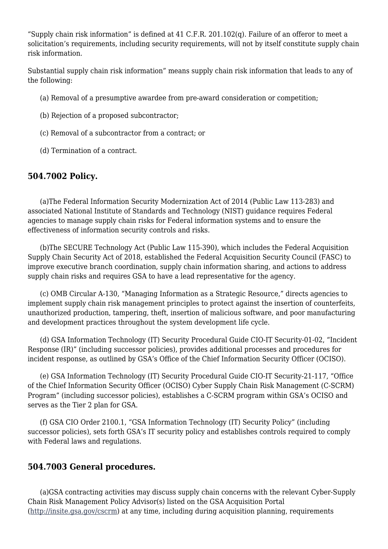"Supply chain risk information" is defined at  $41$  C.F.R. 201.102(q). Failure of an offeror to meet a solicitation's requirements, including security requirements, will not by itself constitute supply chain risk information.

Substantial supply chain risk information" means supply chain risk information that leads to any of the following:

- (a) Removal of a presumptive awardee from pre-award consideration or competition;
- (b) Rejection of a proposed subcontractor;
- (c) Removal of a subcontractor from a contract; or
- (d) Termination of a contract.

## **504.7002 Policy.**

 (a)The Federal Information Security Modernization Act of 2014 (Public Law 113-283) and associated National Institute of Standards and Technology (NIST) guidance requires Federal agencies to manage supply chain risks for Federal information systems and to ensure the effectiveness of information security controls and risks.

 (b)The SECURE Technology Act (Public Law 115-390), which includes the Federal Acquisition Supply Chain Security Act of 2018, established the Federal Acquisition Security Council (FASC) to improve executive branch coordination, supply chain information sharing, and actions to address supply chain risks and requires GSA to have a lead representative for the agency.

 (c) OMB Circular A-130, "Managing Information as a Strategic Resource," directs agencies to implement supply chain risk management principles to protect against the insertion of counterfeits, unauthorized production, tampering, theft, insertion of malicious software, and poor manufacturing and development practices throughout the system development life cycle.

 (d) GSA Information Technology (IT) Security Procedural Guide CIO-IT Security-01-02, "Incident Response (IR)" (including successor policies), provides additional processes and procedures for incident response, as outlined by GSA's Office of the Chief Information Security Officer (OCISO).

 (e) GSA Information Technology (IT) Security Procedural Guide CIO-IT Security-21-117, "Office of the Chief Information Security Officer (OCISO) Cyber Supply Chain Risk Management (C-SCRM) Program" (including successor policies), establishes a C-SCRM program within GSA's OCISO and serves as the Tier 2 plan for GSA.

 (f) GSA CIO Order 2100.1, "GSA Information Technology (IT) Security Policy" (including successor policies), sets forth GSA's IT security policy and establishes controls required to comply with Federal laws and regulations.

## **504.7003 General procedures.**

 (a)GSA contracting activities may discuss supply chain concerns with the relevant Cyber-Supply Chain Risk Management Policy Advisor(s) listed on the GSA Acquisition Portal [\(http://insite.gsa.gov/cscrm\)](http://insite.gsa.gov/scrm) at any time, including during acquisition planning, requirements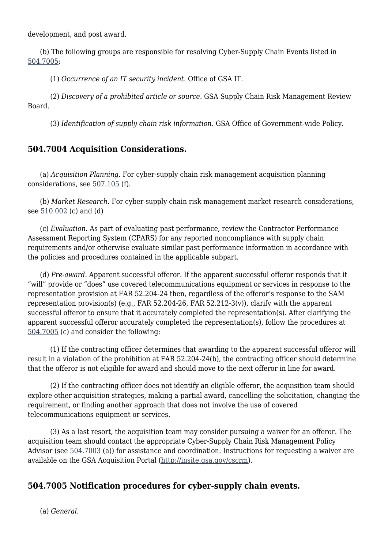development, and post award.

 (b) The following groups are responsible for resolving Cyber-Supply Chain Events listed in [504.7005:](#page--1-0)

(1) *Occurrence of an IT security incident*. Office of GSA IT.

 (2) *Discovery of a prohibited article or source*. GSA Supply Chain Risk Management Review Board.

(3) *Identification of supply chain risk information*. GSA Office of Government-wide Policy.

## **504.7004 Acquisition Considerations.**

 (a) *Acquisition Planning*. For cyber-supply chain risk management acquisition planning considerations, see [507.105](https://www.acquisition.gov/gsam/part-507#GSAM_507_105) (f).

 (b) *Market Research*. For cyber-supply chain risk management market research considerations, see [510.002](https://www.acquisition.gov/gsam/part-510#GSAM_510_002) (c) and (d)

 (c) *Evaluation*. As part of evaluating past performance, review the Contractor Performance Assessment Reporting System (CPARS) for any reported noncompliance with supply chain requirements and/or otherwise evaluate similar past performance information in accordance with the policies and procedures contained in the applicable subpart.

 (d) *Pre-award*. Apparent successful offeror. If the apparent successful offeror responds that it "will" provide or "does" use covered telecommunications equipment or services in response to the representation provision at FAR 52.204-24 then, regardless of the offeror's response to the SAM representation provision(s) (e.g., FAR 52.204-26, FAR 52.212-3(v)), clarify with the apparent successful offeror to ensure that it accurately completed the representation(s). After clarifying the apparent successful offeror accurately completed the representation(s), follow the procedures at [504.7005](#page--1-0) (c) and consider the following:

 (1) If the contracting officer determines that awarding to the apparent successful offeror will result in a violation of the prohibition at FAR 52.204-24(b), the contracting officer should determine that the offeror is not eligible for award and should move to the next offeror in line for award.

 (2) If the contracting officer does not identify an eligible offeror, the acquisition team should explore other acquisition strategies, making a partial award, cancelling the solicitation, changing the requirement, or finding another approach that does not involve the use of covered telecommunications equipment or services.

 (3) As a last resort, the acquisition team may consider pursuing a waiver for an offeror. The acquisition team should contact the appropriate Cyber-Supply Chain Risk Management Policy Advisor (see  $\frac{504.7003}{a}$  (a)) for assistance and coordination. Instructions for requesting a waiver are available on the GSA Acquisition Portal [\(http://insite.gsa.gov/cscrm\)](http://insite.gsa.gov/cscrm).

## **504.7005 Notification procedures for cyber-supply chain events.**

(a) *General*.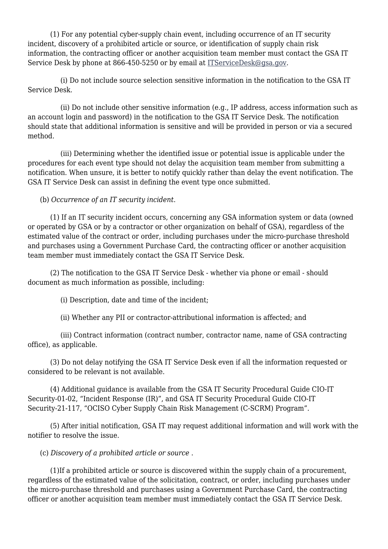(1) For any potential cyber-supply chain event, including occurrence of an IT security incident, discovery of a prohibited article or source, or identification of supply chain risk information, the contracting officer or another acquisition team member must contact the GSA IT Service Desk by phone at 866-450-5250 or by email at [ITServiceDesk@gsa.gov.](mailto:ITServiceDesk@gsa.gov)

 (i) Do not include source selection sensitive information in the notification to the GSA IT Service Desk.

 (ii) Do not include other sensitive information (e.g., IP address, access information such as an account login and password) in the notification to the GSA IT Service Desk. The notification should state that additional information is sensitive and will be provided in person or via a secured method.

 (iii) Determining whether the identified issue or potential issue is applicable under the procedures for each event type should not delay the acquisition team member from submitting a notification. When unsure, it is better to notify quickly rather than delay the event notification. The GSA IT Service Desk can assist in defining the event type once submitted.

(b) *Occurrence of an IT security incident*.

 (1) If an IT security incident occurs, concerning any GSA information system or data (owned or operated by GSA or by a contractor or other organization on behalf of GSA), regardless of the estimated value of the contract or order, including purchases under the micro-purchase threshold and purchases using a Government Purchase Card, the contracting officer or another acquisition team member must immediately contact the GSA IT Service Desk.

 (2) The notification to the GSA IT Service Desk - whether via phone or email - should document as much information as possible, including:

(i) Description, date and time of the incident;

(ii) Whether any PII or contractor-attributional information is affected; and

 (iii) Contract information (contract number, contractor name, name of GSA contracting office), as applicable.

 (3) Do not delay notifying the GSA IT Service Desk even if all the information requested or considered to be relevant is not available.

 (4) Additional guidance is available from the GSA IT Security Procedural Guide CIO-IT Security-01-02, "Incident Response (IR)", and GSA IT Security Procedural Guide CIO-IT Security-21-117, "OCISO Cyber Supply Chain Risk Management (C-SCRM) Program".

 (5) After initial notification, GSA IT may request additional information and will work with the notifier to resolve the issue.

(c) *Discovery of a prohibited article or source* .

 (1)If a prohibited article or source is discovered within the supply chain of a procurement, regardless of the estimated value of the solicitation, contract, or order, including purchases under the micro-purchase threshold and purchases using a Government Purchase Card, the contracting officer or another acquisition team member must immediately contact the GSA IT Service Desk.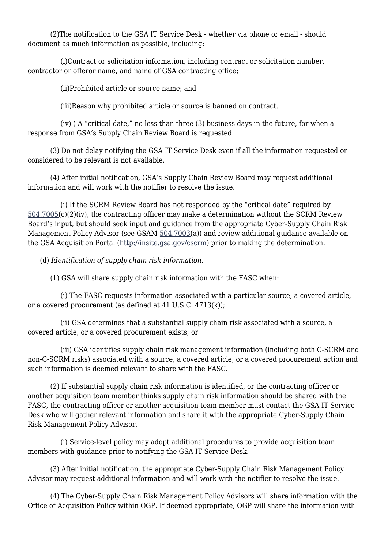(2)The notification to the GSA IT Service Desk - whether via phone or email - should document as much information as possible, including:

 (i)Contract or solicitation information, including contract or solicitation number, contractor or offeror name, and name of GSA contracting office;

(ii)Prohibited article or source name; and

(iii)Reason why prohibited article or source is banned on contract.

 (iv) ) A "critical date," no less than three (3) business days in the future, for when a response from GSA's Supply Chain Review Board is requested.

 (3) Do not delay notifying the GSA IT Service Desk even if all the information requested or considered to be relevant is not available.

 (4) After initial notification, GSA's Supply Chain Review Board may request additional information and will work with the notifier to resolve the issue.

 (i) If the SCRM Review Board has not responded by the "critical date" required by  $504.7005(c)(2)(iv)$  $504.7005(c)(2)(iv)$ , the contracting officer may make a determination without the SCRM Review Board's input, but should seek input and guidance from the appropriate Cyber-Supply Chain Risk Management Policy Advisor (see GSAM [504.7003](#page--1-0)(a)) and review additional guidance available on the GSA Acquisition Portal (<http://insite.gsa.gov/cscrm>) prior to making the determination.

(d) *Identification of supply chain risk information*.

(1) GSA will share supply chain risk information with the FASC when:

 (i) The FASC requests information associated with a particular source, a covered article, or a covered procurement (as defined at 41 U.S.C. 4713(k));

 (ii) GSA determines that a substantial supply chain risk associated with a source, a covered article, or a covered procurement exists; or

 (iii) GSA identifies supply chain risk management information (including both C-SCRM and non-C-SCRM risks) associated with a source, a covered article, or a covered procurement action and such information is deemed relevant to share with the FASC.

 (2) If substantial supply chain risk information is identified, or the contracting officer or another acquisition team member thinks supply chain risk information should be shared with the FASC, the contracting officer or another acquisition team member must contact the GSA IT Service Desk who will gather relevant information and share it with the appropriate Cyber-Supply Chain Risk Management Policy Advisor.

 (i) Service-level policy may adopt additional procedures to provide acquisition team members with guidance prior to notifying the GSA IT Service Desk.

 (3) After initial notification, the appropriate Cyber-Supply Chain Risk Management Policy Advisor may request additional information and will work with the notifier to resolve the issue.

 (4) The Cyber-Supply Chain Risk Management Policy Advisors will share information with the Office of Acquisition Policy within OGP. If deemed appropriate, OGP will share the information with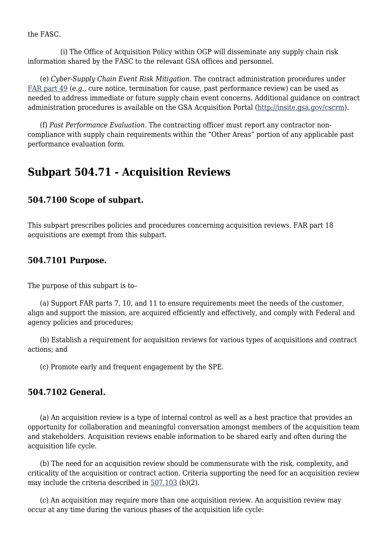the FASC.

 (i) The Office of Acquisition Policy within OGP will disseminate any supply chain risk information shared by the FASC to the relevant GSA offices and personnel.

 (e) *Cyber-Supply Chain Event Risk Mitigation*. The contract administration procedures under [FAR part 49](https://www.acquisition.gov/content/part-49-termination-contracts) (*e.g.,* cure notice, termination for cause, past performance review) can be used as needed to address immediate or future supply chain event concerns. Additional guidance on contract administration procedures is available on the GSA Acquisition Portal [\(http://insite.gsa.gov/cscrm\)](http://insite.gsa.gov/scrm).

 (f) *Past Performance Evaluation*. The contracting officer must report any contractor noncompliance with supply chain requirements within the "Other Areas" portion of any applicable past performance evaluation form.

## **Subpart 504.71 - Acquisition Reviews**

## **504.7100 Scope of subpart.**

This subpart prescribes policies and procedures concerning acquisition reviews. FAR part 18 acquisitions are exempt from this subpart.

## **504.7101 Purpose.**

The purpose of this subpart is to–

 (a) Support FAR parts 7, 10, and 11 to ensure requirements meet the needs of the customer, align and support the mission, are acquired efficiently and effectively, and comply with Federal and agency policies and procedures;

 (b) Establish a requirement for acquisition reviews for various types of acquisitions and contract actions; and

(c) Promote early and frequent engagement by the SPE.

## **504.7102 General.**

 (a) An acquisition review is a type of internal control as well as a best practice that provides an opportunity for collaboration and meaningful conversation amongst members of the acquisition team and stakeholders. Acquisition reviews enable information to be shared early and often during the acquisition life cycle.

 (b) The need for an acquisition review should be commensurate with the risk, complexity, and criticality of the acquisition or contract action. Criteria supporting the need for an acquisition review may include the criteria described in [507.103](https://www.acquisition.gov/gsam/part-507#GSAM_507_103) (b)(2).

 (c) An acquisition may require more than one acquisition review. An acquisition review may occur at any time during the various phases of the acquisition life cycle: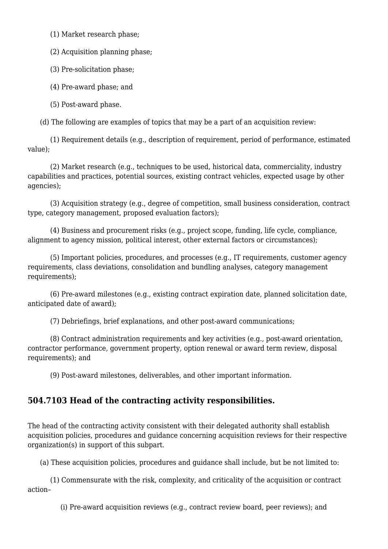(1) Market research phase;

(2) Acquisition planning phase;

(3) Pre-solicitation phase;

(4) Pre-award phase; and

(5) Post-award phase.

(d) The following are examples of topics that may be a part of an acquisition review:

 (1) Requirement details (e.g., description of requirement, period of performance, estimated value);

 (2) Market research (e.g., techniques to be used, historical data, commerciality, industry capabilities and practices, potential sources, existing contract vehicles, expected usage by other agencies);

 (3) Acquisition strategy (e.g., degree of competition, small business consideration, contract type, category management, proposed evaluation factors);

 (4) Business and procurement risks (e.g., project scope, funding, life cycle, compliance, alignment to agency mission, political interest, other external factors or circumstances);

 (5) Important policies, procedures, and processes (e.g., IT requirements, customer agency requirements, class deviations, consolidation and bundling analyses, category management requirements);

 (6) Pre-award milestones (e.g., existing contract expiration date, planned solicitation date, anticipated date of award);

(7) Debriefings, brief explanations, and other post-award communications;

 (8) Contract administration requirements and key activities (e.g., post-award orientation, contractor performance, government property, option renewal or award term review, disposal requirements); and

(9) Post-award milestones, deliverables, and other important information.

## **504.7103 Head of the contracting activity responsibilities.**

The head of the contracting activity consistent with their delegated authority shall establish acquisition policies, procedures and guidance concerning acquisition reviews for their respective organization(s) in support of this subpart.

(a) These acquisition policies, procedures and guidance shall include, but be not limited to:

 (1) Commensurate with the risk, complexity, and criticality of the acquisition or contract action–

(i) Pre-award acquisition reviews (e.g., contract review board, peer reviews); and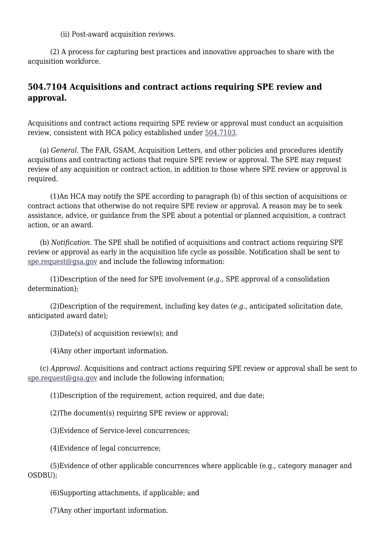(ii) Post-award acquisition reviews.

 (2) A process for capturing best practices and innovative approaches to share with the acquisition workforce.

## **504.7104 Acquisitions and contract actions requiring SPE review and approval.**

Acquisitions and contract actions requiring SPE review or approval must conduct an acquisition review, consistent with HCA policy established under [504.7103.](#page--1-0)

 (a) *General*. The FAR, GSAM, Acquisition Letters, and other policies and procedures identify acquisitions and contracting actions that require SPE review or approval. The SPE may request review of any acquisition or contract action, in addition to those where SPE review or approval is required.

 (1)An HCA may notify the SPE according to paragraph (b) of this section of acquisitions or contract actions that otherwise do not require SPE review or approval. A reason may be to seek assistance, advice, or guidance from the SPE about a potential or planned acquisition, a contract action, or an award.

 (b) *Notification.* The SPE shall be notified of acquisitions and contract actions requiring SPE review or approval as early in the acquisition life cycle as possible. Notification shall be sent to [spe.request@gsa.gov](mailto:spe.request@gsa.gov) and include the following information:

 (1)Description of the need for SPE involvement (*e.g.,* SPE approval of a consolidation determination);

 (2)Description of the requirement, including key dates (*e.g.*, anticipated solicitation date, anticipated award date);

(3)Date(s) of acquisition review(s); and

(4)Any other important information.

 (c) *Approval*. Acquisitions and contract actions requiring SPE review or approval shall be sent to [spe.request@gsa.gov](mailto:spe.request@gsa.gov) and include the following information;

(1)Description of the requirement, action required, and due date;

(2)The document(s) requiring SPE review or approval;

(3)Evidence of Service-level concurrences;

(4)Evidence of legal concurrence;

 (5)Evidence of other applicable concurrences where applicable (e.g., category manager and OSDBU);

(6)Supporting attachments, if applicable; and

(7)Any other important information.